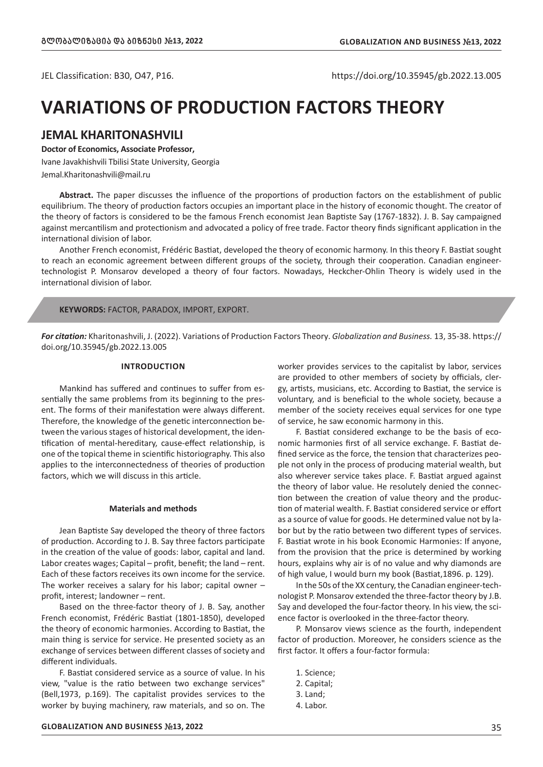JEL Classification: B30, O47, P16. https://doi.org/10.35945/gb.2022.13.005

# **VARIATIONS OF PRODUCTION FACTORS THEORY**

# **JEMAL KHARITONASHVILI**

### **Doctor of Economics, Associate Professor,**

Ivane Javakhishvili Tbilisi State University, Georgia Jemal.Kharitonashvili@mail.ru

**Abstract.** The paper discusses the influence of the proportions of production factors on the establishment of public equilibrium. The theory of production factors occupies an important place in the history of economic thought. The creator of the theory of factors is considered to be the famous French economist Jean Baptiste Say (1767-1832). J. B. Say campaigned against mercantilism and protectionism and advocated a policy of free trade. Factor theory finds significant application in the international division of labor.

Another French economist, Frédéric Bastiat, developed the theory of economic harmony. In this theory F. Bastiat sought to reach an economic agreement between different groups of the society, through their cooperation. Canadian engineertechnologist P. Monsarov developed a theory of four factors. Nowadays, Heckcher-Ohlin Theory is widely used in the international division of labor.

#### **KEYWORDS:** FACTOR, PARADOX, IMPORT, EXPORT.

*For citation:* Kharitonashvili, J. (2022). Variations of Production Factors Theory. *Globalization and Business.* 13, 35-38. https:// doi.org/10.35945/gb.2022.13.005

## **INTRODUCTION**

Mankind has suffered and continues to suffer from essentially the same problems from its beginning to the present. The forms of their manifestation were always different. Therefore, the knowledge of the genetic interconnection between the various stages of historical development, the identification of mental-hereditary, cause-effect relationship, is one of the topical theme in scientific historiography. This also applies to the interconnectedness of theories of production factors, which we will discuss in this article.

#### **Materials and methods**

Jean Baptiste Say developed the theory of three factors of production. According to J. B. Say three factors participate in the creation of the value of goods: labor, capital and land. Labor creates wages; Capital – profit, benefit; the land – rent. Each of these factors receives its own income for the service. The worker receives a salary for his labor; capital owner – profit, interest; landowner – rent.

Based on the three-factor theory of J. B. Say, another French economist, Frédéric Bastiat (1801-1850), developed the theory of economic harmonies. According to Bastiat, the main thing is service for service. He presented society as an exchange of services between different classes of society and different individuals.

F. Bastiat considered service as a source of value. In his view, "value is the ratio between two exchange services" (Bell,1973, p.169). The capitalist provides services to the worker by buying machinery, raw materials, and so on. The worker provides services to the capitalist by labor, services are provided to other members of society by officials, clergy, artists, musicians, etc. According to Bastiat, the service is voluntary, and is beneficial to the whole society, because a member of the society receives equal services for one type of service, he saw economic harmony in this.

F. Bastiat considered exchange to be the basis of economic harmonies first of all service exchange. F. Bastiat defined service as the force, the tension that characterizes people not only in the process of producing material wealth, but also wherever service takes place. F. Bastiat argued against the theory of labor value. He resolutely denied the connection between the creation of value theory and the production of material wealth. F. Bastiat considered service or effort as a source of value for goods. He determined value not by labor but by the ratio between two different types of services. F. Bastiat wrote in his book Economic Harmonies: If anyone, from the provision that the price is determined by working hours, explains why air is of no value and why diamonds are of high value, I would burn my book (Bastiat,1896. p. 129).

In the 50s of the XX century, the Canadian engineer-technologist P. Monsarov extended the three-factor theory by J.B. Say and developed the four-factor theory. In his view, the science factor is overlooked in the three-factor theory.

P. Monsarov views science as the fourth, independent factor of production. Moreover, he considers science as the first factor. It offers a four-factor formula:

- 1. Science;
- 2. Capital;
- 3. Land;
- 4. Labor.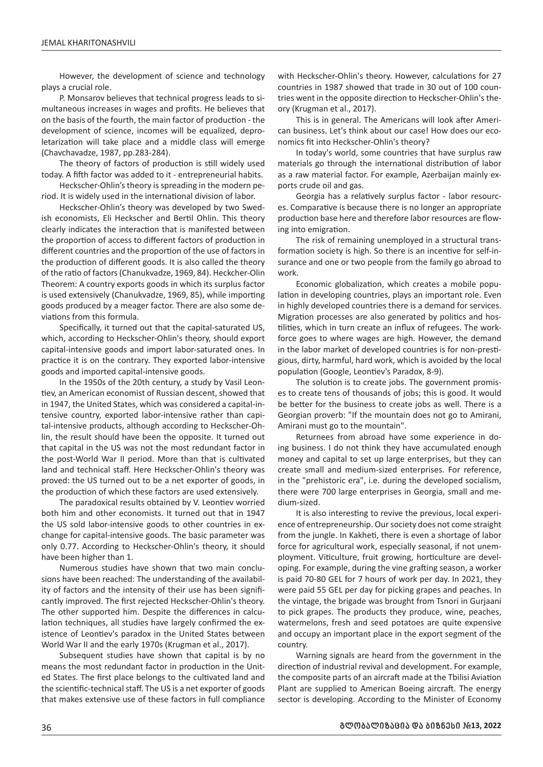However, the development of science and technology plays a crucial role.

P. Monsarov believes that technical progress leads to simultaneous increases in wages and profits. He believes that on the basis of the fourth, the main factor of production - the development of science, incomes will be equalized, deproletarization will take place and a middle class will emerge (Chavchavadze, 1987, pp.283-284).

The theory of factors of production is still widely used today. A fifth factor was added to it - entrepreneurial habits.

Heckscher-Ohlin's theory is spreading in the modern period. It is widely used in the international division of labor.

Heckscher-Ohlin's theory was developed by two Swedish economists, Eli Heckscher and Bertil Ohlin. This theory clearly indicates the interaction that is manifested between the proportion of access to different factors of production in different countries and the proportion of the use of factors in the production of different goods. It is also called the theory of the ratio of factors (Chanukvadze, 1969, 84). Heckcher-Olin Theorem: A country exports goods in which its surplus factor is used extensively (Chanukvadze, 1969, 85), while importing goods produced by a meager factor. There are also some deviations from this formula.

Specifically, it turned out that the capital-saturated US, which, according to Heckscher-Ohlin's theory, should export capital-intensive goods and import labor-saturated ones. In practice it is on the contrary. They exported labor-intensive goods and imported capital-intensive goods.

In the 1950s of the 20th century, a study by Vasil Leontiev, an American economist of Russian descent, showed that in 1947, the United States, which was considered a capital-intensive country, exported labor-intensive rather than capital-intensive products, although according to Heckscher-Ohlin, the result should have been the opposite. It turned out that capital in the US was not the most redundant factor in the post-World War II period. More than that is cultivated land and technical staff. Here Heckscher-Ohlin's theory was proved: the US turned out to be a net exporter of goods, in the production of which these factors are used extensively.

The paradoxical results obtained by V. Leontiev worried both him and other economists. It turned out that in 1947 the US sold labor-intensive goods to other countries in exchange for capital-intensive goods. The basic parameter was only 0.77. According to Heckscher-Ohlin's theory, it should have been higher than 1.

Numerous studies have shown that two main conclusions have been reached: The understanding of the availability of factors and the intensity of their use has been significantly improved. The first rejected Heckscher-Ohlin's theory. The other supported him. Despite the differences in calculation techniques, all studies have largely confirmed the existence of Leontiev's paradox in the United States between World War II and the early 1970s (Krugman et al., 2017).

Subsequent studies have shown that capital is by no means the most redundant factor in production in the United States. The first place belongs to the cultivated land and the scientific-technical staff. The US is a net exporter of goods that makes extensive use of these factors in full compliance with Heckscher-Ohlin's theory. However, calculations for 27 countries in 1987 showed that trade in 30 out of 100 countries went in the opposite direction to Heckscher-Ohlin's theory (Krugman et al., 2017).

This is in general. The Americans will look after American business. Let's think about our case! How does our economics fit into Heckscher-Ohlin's theory?

In today's world, some countries that have surplus raw materials go through the international distribution of labor as a raw material factor. For example, Azerbaijan mainly exports crude oil and gas.

Georgia has a relatively surplus factor - labor resources. Comparative is because there is no longer an appropriate production base here and therefore labor resources are flowing into emigration.

The risk of remaining unemployed in a structural transformation society is high. So there is an incentive for self-insurance and one or two people from the family go abroad to work.

Economic globalization, which creates a mobile population in developing countries, plays an important role. Even in highly developed countries there is a demand for services. Migration processes are also generated by politics and hostilities, which in turn create an influx of refugees. The workforce goes to where wages are high. However, the demand in the labor market of developed countries is for non-prestigious, dirty, harmful, hard work, which is avoided by the local population (Google, Leontiev's Paradox, 8-9).

The solution is to create jobs. The government promises to create tens of thousands of jobs; this is good. It would be better for the business to create jobs as well. There is a Georgian proverb: "If the mountain does not go to Amirani, Amirani must go to the mountain".

Returnees from abroad have some experience in doing business. I do not think they have accumulated enough money and capital to set up large enterprises, but they can create small and medium-sized enterprises. For reference, in the "prehistoric era", i.e. during the developed socialism, there were 700 large enterprises in Georgia, small and medium-sized.

It is also interesting to revive the previous, local experience of entrepreneurship. Our society does not come straight from the jungle. In Kakheti, there is even a shortage of labor force for agricultural work, especially seasonal, if not unemployment. Viticulture, fruit growing, horticulture are developing. For example, during the vine grafting season, a worker is paid 70-80 GEL for 7 hours of work per day. In 2021, they were paid 55 GEL per day for picking grapes and peaches. In the vintage, the brigade was brought from Tsnori in Gurjaani to pick grapes. The products they produce, wine, peaches, watermelons, fresh and seed potatoes are quite expensive and occupy an important place in the export segment of the country.

Warning signals are heard from the government in the direction of industrial revival and development. For example, the composite parts of an aircraft made at the Tbilisi Aviation Plant are supplied to American Boeing aircraft. The energy sector is developing. According to the Minister of Economy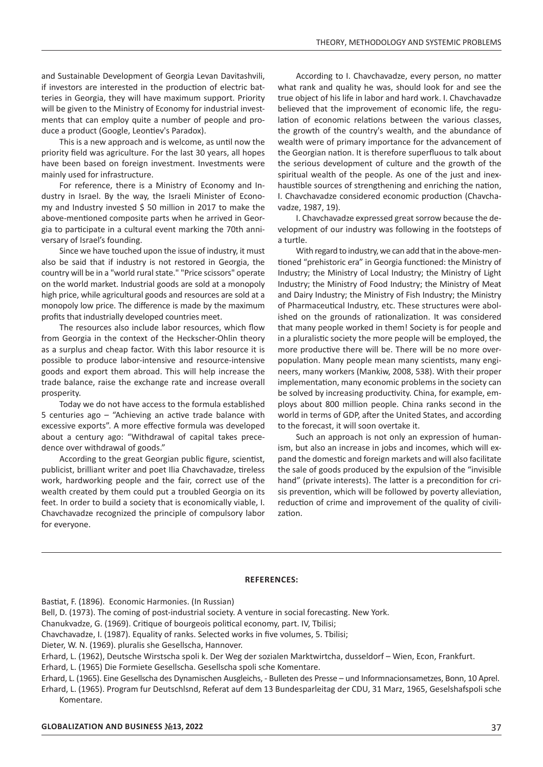and Sustainable Development of Georgia Levan Davitashvili, if investors are interested in the production of electric batteries in Georgia, they will have maximum support. Priority will be given to the Ministry of Economy for industrial investments that can employ quite a number of people and produce a product (Google, Leontiev's Paradox).

This is a new approach and is welcome, as until now the priority field was agriculture. For the last 30 years, all hopes have been based on foreign investment. Investments were mainly used for infrastructure.

For reference, there is a Ministry of Economy and Industry in Israel. By the way, the Israeli Minister of Economy and Industry invested \$ 50 million in 2017 to make the above-mentioned composite parts when he arrived in Georgia to participate in a cultural event marking the 70th anniversary of Israel's founding.

Since we have touched upon the issue of industry, it must also be said that if industry is not restored in Georgia, the country will be in a "world rural state." "Price scissors" operate on the world market. Industrial goods are sold at a monopoly high price, while agricultural goods and resources are sold at a monopoly low price. The difference is made by the maximum profits that industrially developed countries meet.

The resources also include labor resources, which flow from Georgia in the context of the Heckscher-Ohlin theory as a surplus and cheap factor. With this labor resource it is possible to produce labor-intensive and resource-intensive goods and export them abroad. This will help increase the trade balance, raise the exchange rate and increase overall prosperity.

Today we do not have access to the formula established 5 centuries ago – "Achieving an active trade balance with excessive exports". A more effective formula was developed about a century ago: "Withdrawal of capital takes precedence over withdrawal of goods."

According to the great Georgian public figure, scientist, publicist, brilliant writer and poet Ilia Chavchavadze, tireless work, hardworking people and the fair, correct use of the wealth created by them could put a troubled Georgia on its feet. In order to build a society that is economically viable, I. Chavchavadze recognized the principle of compulsory labor for everyone.

According to I. Chavchavadze, every person, no matter what rank and quality he was, should look for and see the true object of his life in labor and hard work. I. Chavchavadze believed that the improvement of economic life, the regulation of economic relations between the various classes, the growth of the country's wealth, and the abundance of wealth were of primary importance for the advancement of the Georgian nation. It is therefore superfluous to talk about the serious development of culture and the growth of the spiritual wealth of the people. As one of the just and inexhaustible sources of strengthening and enriching the nation, I. Chavchavadze considered economic production (Chavchavadze, 1987, 19).

I. Chavchavadze expressed great sorrow because the development of our industry was following in the footsteps of a turtle.

With regard to industry, we can add that in the above-mentioned "prehistoric era" in Georgia functioned: the Ministry of Industry; the Ministry of Local Industry; the Ministry of Light Industry; the Ministry of Food Industry; the Ministry of Meat and Dairy Industry; the Ministry of Fish Industry; the Ministry of Pharmaceutical Industry, etc. These structures were abolished on the grounds of rationalization. It was considered that many people worked in them! Society is for people and in a pluralistic society the more people will be employed, the more productive there will be. There will be no more overpopulation. Many people mean many scientists, many engineers, many workers (Mankiw, 2008, 538). With their proper implementation, many economic problems in the society can be solved by increasing productivity. China, for example, employs about 800 million people. China ranks second in the world in terms of GDP, after the United States, and according to the forecast, it will soon overtake it.

Such an approach is not only an expression of humanism, but also an increase in jobs and incomes, which will expand the domestic and foreign markets and will also facilitate the sale of goods produced by the expulsion of the "invisible hand" (private interests). The latter is a precondition for crisis prevention, which will be followed by poverty alleviation, reduction of crime and improvement of the quality of civilization.

#### **REFERENCES:**

Bastiat, F. (1896). Economic Harmonies. (In Russian)

Bell, D. (1973). The coming of post-industrial society. A venture in social forecasting. New York.

Chanukvadze, G. (1969). Critique of bourgeois political economy, part. IV, Tbilisi;

Chavchavadze, I. (1987). Equality of ranks. Selected works in five volumes, 5. Tbilisi;

Dieter, W. N. (1969). pluralis she Gesellscha, Hannover.

Erhard, L. (1962), Deutsche Wirstscha spoli k. Der Weg der sozialen Marktwirtcha, dusseldorf – Wien, Econ, Frankfurt.

Erhard, L. (1965) Die Formiete Gesellscha. Gesellscha spoli sche Komentare.

Erhard, L. (1965). Eine Gesellscha des Dynamischen Ausgleichs, - Bulleten des Presse – und Informnacionsametzes, Bonn, 10 Aprel. Erhard, L. (1965). Program fur Deutschlsnd, Referat auf dem 13 Bundesparleitag der CDU, 31 Marz, 1965, Geselshafspoli sche Komentare.